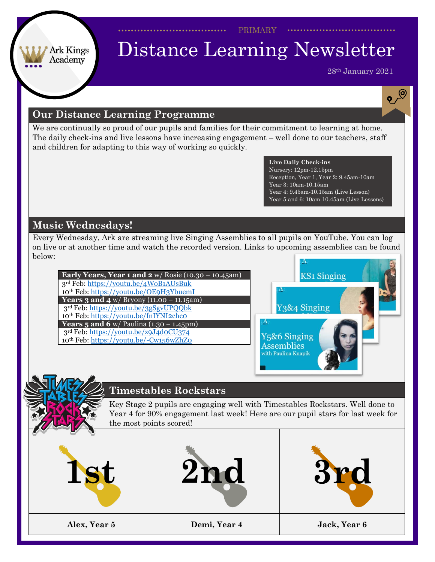PRIMARY

#### Ark Kings Academy

## Distance Learning Newsletter

28th January 2021

 $\mathbf{e}^{\bigcirc}$ 

#### **Our Distance Learning Programme**

We are continually so proud of our pupils and families for their commitment to learning at home. The daily check-ins and live lessons have increasing engagement – well done to our teachers, staff and children for adapting to this way of working so quickly.

> **Live Daily Check-ins** Nursery: 12pm-12.15pm Reception, Year 1, Year 2: 9.45am-10am Year 3: 10am-10.15am Year 4: 9.45am-10.15am (Live Lesson) Year 5 and 6: 10am-10.45am (Live Lessons)

#### **Music Wednesdays!**

Every Wednesday, Ark are streaming live Singing Assemblies to all pupils on YouTube. You can log on live or at another time and watch the recorded version. Links to upcoming assemblies can be found below:

**Early Years, Year 1 and 2** w/ Rosie (10.30 – 10.45am) 3rd Feb: <https://youtu.be/4WoB1AUsBuk> 10th Feb: <https://youtu.be/OE9H3YbuemI> **Years 3 and 4** w/ Bryony (11.00 – 11.15am) 3rd Feb: <https://youtu.be/3gSgvUPQQbk> 10<sup>th</sup> Feb: <https://youtu.be/fnIYNI2chc0> **Years 5 and 6** w/ Paulina (1.30 – 1.45pm) 3rd Feb: <https://youtu.be/z9J4d0CU374> 10th Feb: <https://youtu.be/-Cw156wZhZ0>



#### **Timestables Rockstars**

Key Stage 2 pupils are engaging well with Timestables Rockstars. Well done to Year 4 for 90% engagement last week! Here are our pupil stars for last week for the most points scored!

| L.           |              |              |
|--------------|--------------|--------------|
| Alex, Year 5 | Demi, Year 4 | Jack, Year 6 |